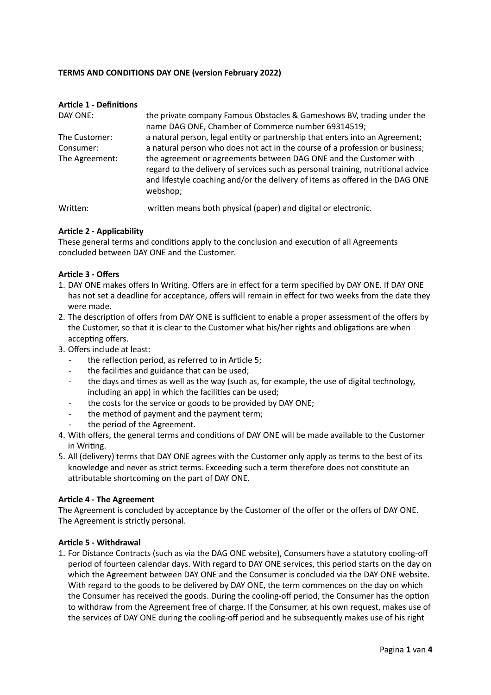### **TERMS AND CONDITIONS DAY ONE (version February 2022)**

| <b>Article 1 - Definitions</b> |                                                                                                                                                                                                                                                    |
|--------------------------------|----------------------------------------------------------------------------------------------------------------------------------------------------------------------------------------------------------------------------------------------------|
| DAY ONE:                       | the private company Famous Obstacles & Gameshows BV, trading under the<br>name DAG ONE, Chamber of Commerce number 69314519;                                                                                                                       |
| The Customer:                  | a natural person, legal entity or partnership that enters into an Agreement;                                                                                                                                                                       |
| Consumer:                      | a natural person who does not act in the course of a profession or business;                                                                                                                                                                       |
| The Agreement:                 | the agreement or agreements between DAG ONE and the Customer with<br>regard to the delivery of services such as personal training, nutritional advice<br>and lifestyle coaching and/or the delivery of items as offered in the DAG ONE<br>webshop; |
| $\mathbf{A}$                   | وتوروسهم والمسامل والمستلم المسمر أسموه مسارا ومنصر والمساري واللومات والمستناسين                                                                                                                                                                  |

Written: written means both physical (paper) and digital or electronic.

### **Article 2 - Applicability**

These general terms and conditions apply to the conclusion and execution of all Agreements concluded between DAY ONE and the Customer.

### **Article 3 - Offers**

- 1. DAY ONE makes offers In Writing. Offers are in effect for a term specified by DAY ONE. If DAY ONE has not set a deadline for acceptance, offers will remain in effect for two weeks from the date they were made.
- 2. The description of offers from DAY ONE is sufficient to enable a proper assessment of the offers by the Customer, so that it is clear to the Customer what his/her rights and obligations are when accepting offers.
- 3. Offers include at least:
	- the reflection period, as referred to in Article 5;
	- the facilities and guidance that can be used;
	- the days and times as well as the way (such as, for example, the use of digital technology, including an app) in which the facilities can be used;
	- the costs for the service or goods to be provided by DAY ONE;
	- the method of payment and the payment term;
	- the period of the Agreement.
- 4. With offers, the general terms and conditions of DAY ONE will be made available to the Customer in Writing.
- 5. All (delivery) terms that DAY ONE agrees with the Customer only apply as terms to the best of its knowledge and never as strict terms. Exceeding such a term therefore does not constitute an attributable shortcoming on the part of DAY ONE.

### **Article 4 - The Agreement**

The Agreement is concluded by acceptance by the Customer of the offer or the offers of DAY ONE. The Agreement is strictly personal.

### **Article 5 - Withdrawal**

1. For Distance Contracts (such as via the DAG ONE website), Consumers have a statutory cooling-off period of fourteen calendar days. With regard to DAY ONE services, this period starts on the day on which the Agreement between DAY ONE and the Consumer is concluded via the DAY ONE website. With regard to the goods to be delivered by DAY ONE, the term commences on the day on which the Consumer has received the goods. During the cooling-off period, the Consumer has the option to withdraw from the Agreement free of charge. If the Consumer, at his own request, makes use of the services of DAY ONE during the cooling-off period and he subsequently makes use of his right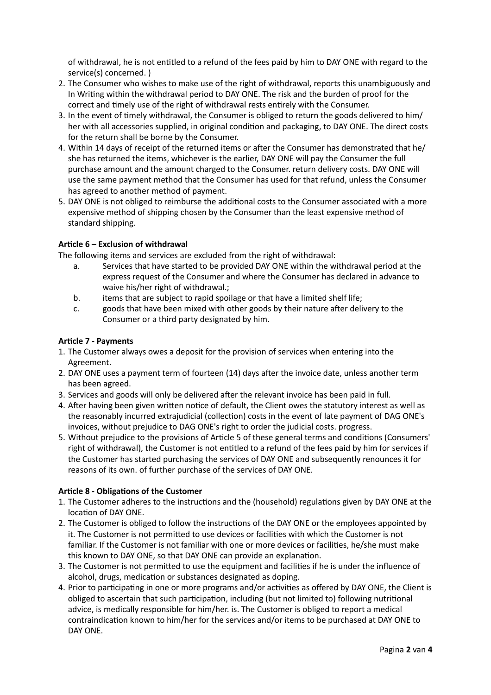of withdrawal, he is not entitled to a refund of the fees paid by him to DAY ONE with regard to the service(s) concerned. )

- 2. The Consumer who wishes to make use of the right of withdrawal, reports this unambiguously and In Writing within the withdrawal period to DAY ONE. The risk and the burden of proof for the correct and timely use of the right of withdrawal rests entirely with the Consumer.
- 3. In the event of timely withdrawal, the Consumer is obliged to return the goods delivered to him/ her with all accessories supplied, in original condition and packaging, to DAY ONE. The direct costs for the return shall be borne by the Consumer.
- 4. Within 14 days of receipt of the returned items or after the Consumer has demonstrated that he/ she has returned the items, whichever is the earlier, DAY ONE will pay the Consumer the full purchase amount and the amount charged to the Consumer. return delivery costs. DAY ONE will use the same payment method that the Consumer has used for that refund, unless the Consumer has agreed to another method of payment.
- 5. DAY ONE is not obliged to reimburse the additional costs to the Consumer associated with a more expensive method of shipping chosen by the Consumer than the least expensive method of standard shipping.

## **Article 6 – Exclusion of withdrawal**

The following items and services are excluded from the right of withdrawal:

- a. Services that have started to be provided DAY ONE within the withdrawal period at the express request of the Consumer and where the Consumer has declared in advance to waive his/her right of withdrawal.;
- b. items that are subject to rapid spoilage or that have a limited shelf life;
- c. goods that have been mixed with other goods by their nature after delivery to the Consumer or a third party designated by him.

### **Article 7 - Payments**

- 1. The Customer always owes a deposit for the provision of services when entering into the Agreement.
- 2. DAY ONE uses a payment term of fourteen (14) days after the invoice date, unless another term has been agreed.
- 3. Services and goods will only be delivered after the relevant invoice has been paid in full.
- 4. After having been given written notice of default, the Client owes the statutory interest as well as the reasonably incurred extrajudicial (collection) costs in the event of late payment of DAG ONE's invoices, without prejudice to DAG ONE's right to order the judicial costs. progress.
- 5. Without prejudice to the provisions of Article 5 of these general terms and conditions (Consumers' right of withdrawal), the Customer is not entitled to a refund of the fees paid by him for services if the Customer has started purchasing the services of DAY ONE and subsequently renounces it for reasons of its own. of further purchase of the services of DAY ONE.

# **Article 8 - Obligations of the Customer**

- 1. The Customer adheres to the instructions and the (household) regulations given by DAY ONE at the location of DAY ONE.
- 2. The Customer is obliged to follow the instructions of the DAY ONE or the employees appointed by it. The Customer is not permitted to use devices or facilities with which the Customer is not familiar. If the Customer is not familiar with one or more devices or facilities, he/she must make this known to DAY ONE, so that DAY ONE can provide an explanation.
- 3. The Customer is not permitted to use the equipment and facilities if he is under the influence of alcohol, drugs, medication or substances designated as doping.
- 4. Prior to participating in one or more programs and/or activities as offered by DAY ONE, the Client is obliged to ascertain that such participation, including (but not limited to) following nutritional advice, is medically responsible for him/her. is. The Customer is obliged to report a medical contraindication known to him/her for the services and/or items to be purchased at DAY ONE to DAY ONE.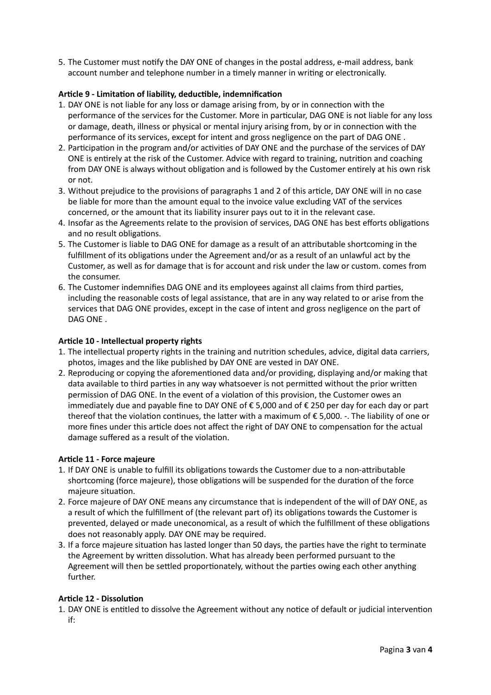5. The Customer must notify the DAY ONE of changes in the postal address, e-mail address, bank account number and telephone number in a timely manner in writing or electronically.

# **Article 9 - Limitation of liability, deductible, indemnification**

- 1. DAY ONE is not liable for any loss or damage arising from, by or in connection with the performance of the services for the Customer. More in particular, DAG ONE is not liable for any loss or damage, death, illness or physical or mental injury arising from, by or in connection with the performance of its services, except for intent and gross negligence on the part of DAG ONE .
- 2. Participation in the program and/or activities of DAY ONE and the purchase of the services of DAY ONE is entirely at the risk of the Customer. Advice with regard to training, nutrition and coaching from DAY ONE is always without obligation and is followed by the Customer entirely at his own risk or not.
- 3. Without prejudice to the provisions of paragraphs 1 and 2 of this article, DAY ONE will in no case be liable for more than the amount equal to the invoice value excluding VAT of the services concerned, or the amount that its liability insurer pays out to it in the relevant case.
- 4. Insofar as the Agreements relate to the provision of services, DAG ONE has best efforts obligations and no result obligations.
- 5. The Customer is liable to DAG ONE for damage as a result of an attributable shortcoming in the fulfillment of its obligations under the Agreement and/or as a result of an unlawful act by the Customer, as well as for damage that is for account and risk under the law or custom. comes from the consumer.
- 6. The Customer indemnifies DAG ONE and its employees against all claims from third parties, including the reasonable costs of legal assistance, that are in any way related to or arise from the services that DAG ONE provides, except in the case of intent and gross negligence on the part of DAG ONE .

### **Article 10 - Intellectual property rights**

- 1. The intellectual property rights in the training and nutrition schedules, advice, digital data carriers, photos, images and the like published by DAY ONE are vested in DAY ONE.
- 2. Reproducing or copying the aforementioned data and/or providing, displaying and/or making that data available to third parties in any way whatsoever is not permitted without the prior written permission of DAG ONE. In the event of a violation of this provision, the Customer owes an immediately due and payable fine to DAY ONE of € 5,000 and of € 250 per day for each day or part thereof that the violation continues, the latter with a maximum of € 5,000. -. The liability of one or more fines under this article does not affect the right of DAY ONE to compensation for the actual damage suffered as a result of the violation.

### **Article 11 - Force majeure**

- 1. If DAY ONE is unable to fulfill its obligations towards the Customer due to a non-attributable shortcoming (force majeure), those obligations will be suspended for the duration of the force majeure situation.
- 2. Force majeure of DAY ONE means any circumstance that is independent of the will of DAY ONE, as a result of which the fulfillment of (the relevant part of) its obligations towards the Customer is prevented, delayed or made uneconomical, as a result of which the fulfillment of these obligations does not reasonably apply. DAY ONE may be required.
- 3. If a force majeure situation has lasted longer than 50 days, the parties have the right to terminate the Agreement by written dissolution. What has already been performed pursuant to the Agreement will then be settled proportionately, without the parties owing each other anything further.

### **Article 12 - Dissolution**

1. DAY ONE is entitled to dissolve the Agreement without any notice of default or judicial intervention if: